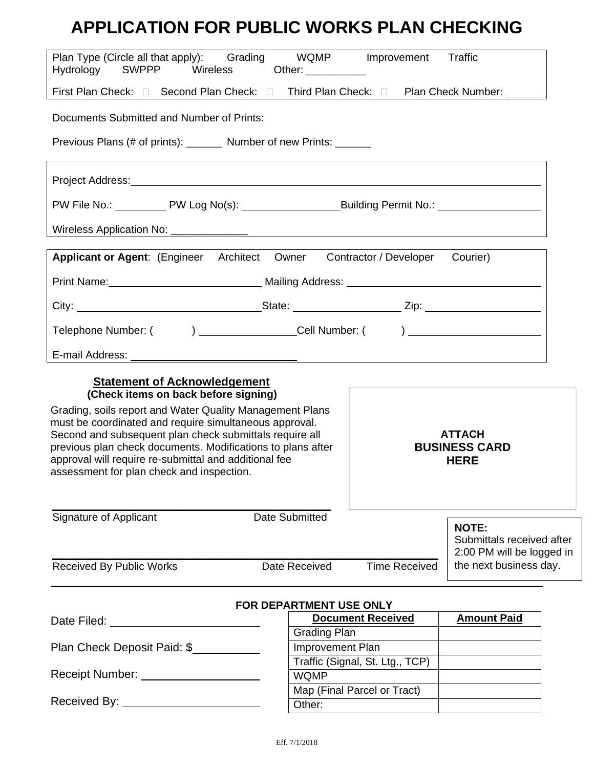# **APPLICATION FOR PUBLIC WORKS PLAN CHECKING**

| Plan Type (Circle all that apply): Grading WQMP Improvement<br>Hydrology<br>SWPPP Wireless                                                                                                                                     | Other: ___________                         | Traffic                                   |
|--------------------------------------------------------------------------------------------------------------------------------------------------------------------------------------------------------------------------------|--------------------------------------------|-------------------------------------------|
|                                                                                                                                                                                                                                |                                            |                                           |
| Documents Submitted and Number of Prints:                                                                                                                                                                                      |                                            |                                           |
| Previous Plans (# of prints): ________ Number of new Prints: _______                                                                                                                                                           |                                            |                                           |
| Project Address: North American Control of the Address of the Address of the Address of the Address of the Address of the Address of the Address of the Address of the Address of the Address of the Address of the Address of |                                            |                                           |
| PW File No.: ____________PW Log No(s): _______________________Building Permit No.: ________________                                                                                                                            |                                            |                                           |
|                                                                                                                                                                                                                                |                                            |                                           |
| Applicant or Agent: (Engineer Architect Owner Contractor / Developer Courier)                                                                                                                                                  |                                            |                                           |
|                                                                                                                                                                                                                                |                                            |                                           |
|                                                                                                                                                                                                                                |                                            |                                           |
| Telephone Number: ( ) __________________________Cell Number: ( ) _______________                                                                                                                                               |                                            |                                           |
|                                                                                                                                                                                                                                |                                            |                                           |
| <b>Statement of Acknowledgement</b>                                                                                                                                                                                            |                                            |                                           |
| (Check items on back before signing)                                                                                                                                                                                           |                                            |                                           |
| Grading, soils report and Water Quality Management Plans                                                                                                                                                                       |                                            |                                           |
| must be coordinated and require simultaneous approval.<br><b>ATTACH</b><br>Second and subsequent plan check submittals require all                                                                                             |                                            |                                           |
| previous plan check documents. Modifications to plans after<br><b>BUSINESS CARD</b>                                                                                                                                            |                                            |                                           |
| approval will require re-submittal and additional fee<br><b>HERE</b>                                                                                                                                                           |                                            |                                           |
| assessment for plan check and inspection.                                                                                                                                                                                      |                                            |                                           |
|                                                                                                                                                                                                                                |                                            |                                           |
| Signature of Applicant                                                                                                                                                                                                         | Date Submitted                             |                                           |
|                                                                                                                                                                                                                                |                                            | <b>NOTE:</b><br>Submittals received after |
|                                                                                                                                                                                                                                |                                            | 2:00 PM will be logged in                 |
| <b>Received By Public Works</b>                                                                                                                                                                                                | <b>Time Received</b><br>Date Received      | the next business day.                    |
|                                                                                                                                                                                                                                |                                            |                                           |
|                                                                                                                                                                                                                                | FOR DEPARTMENT USE ONLY                    |                                           |
| Date Filed: University of Pater Press, 2014                                                                                                                                                                                    | <b>Document Received</b>                   | <b>Amount Paid</b>                        |
|                                                                                                                                                                                                                                | <b>Grading Plan</b>                        |                                           |
| Plan Check Deposit Paid: \$                                                                                                                                                                                                    | Improvement Plan                           |                                           |
| Receipt Number: Name of Preceipt Number:                                                                                                                                                                                       | Traffic (Signal, St. Ltg., TCP)            |                                           |
|                                                                                                                                                                                                                                |                                            |                                           |
|                                                                                                                                                                                                                                | <b>WQMP</b><br>Map (Final Parcel or Tract) |                                           |